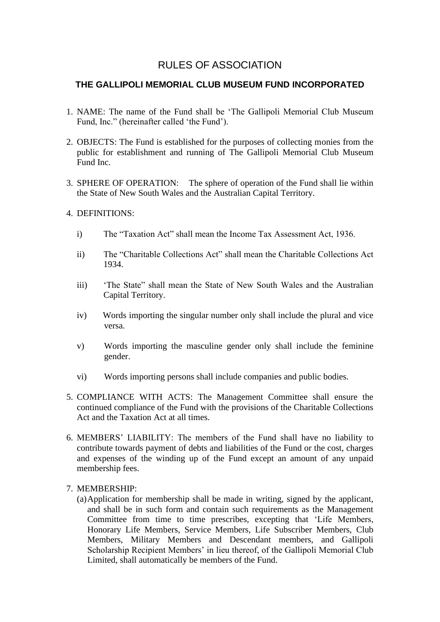# RULES OF ASSOCIATION

# **THE GALLIPOLI MEMORIAL CLUB MUSEUM FUND INCORPORATED**

- 1. NAME: The name of the Fund shall be 'The Gallipoli Memorial Club Museum Fund, Inc." (hereinafter called 'the Fund').
- 2. OBJECTS: The Fund is established for the purposes of collecting monies from the public for establishment and running of The Gallipoli Memorial Club Museum Fund Inc.
- 3. SPHERE OF OPERATION: The sphere of operation of the Fund shall lie within the State of New South Wales and the Australian Capital Territory.

# 4. DEFINITIONS:

- i) The "Taxation Act" shall mean the Income Tax Assessment Act, 1936.
- ii) The "Charitable Collections Act" shall mean the Charitable Collections Act 1934.
- iii) 'The State" shall mean the State of New South Wales and the Australian Capital Territory.
- iv) Words importing the singular number only shall include the plural and vice versa.
- v) Words importing the masculine gender only shall include the feminine gender.
- vi) Words importing persons shall include companies and public bodies.
- 5. COMPLIANCE WITH ACTS: The Management Committee shall ensure the continued compliance of the Fund with the provisions of the Charitable Collections Act and the Taxation Act at all times.
- 6. MEMBERS' LIABILITY: The members of the Fund shall have no liability to contribute towards payment of debts and liabilities of the Fund or the cost, charges and expenses of the winding up of the Fund except an amount of any unpaid membership fees.

# 7. MEMBERSHIP:

(a)Application for membership shall be made in writing, signed by the applicant, and shall be in such form and contain such requirements as the Management Committee from time to time prescribes, excepting that 'Life Members, Honorary Life Members, Service Members, Life Subscriber Members, Club Members, Military Members and Descendant members, and Gallipoli Scholarship Recipient Members' in lieu thereof, of the Gallipoli Memorial Club Limited, shall automatically be members of the Fund.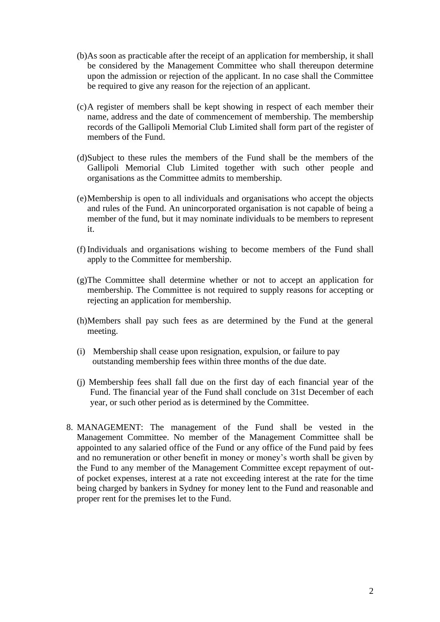- (b)As soon as practicable after the receipt of an application for membership, it shall be considered by the Management Committee who shall thereupon determine upon the admission or rejection of the applicant. In no case shall the Committee be required to give any reason for the rejection of an applicant.
- (c)A register of members shall be kept showing in respect of each member their name, address and the date of commencement of membership. The membership records of the Gallipoli Memorial Club Limited shall form part of the register of members of the Fund.
- (d)Subject to these rules the members of the Fund shall be the members of the Gallipoli Memorial Club Limited together with such other people and organisations as the Committee admits to membership.
- (e)Membership is open to all individuals and organisations who accept the objects and rules of the Fund. An unincorporated organisation is not capable of being a member of the fund, but it may nominate individuals to be members to represent it.
- (f) Individuals and organisations wishing to become members of the Fund shall apply to the Committee for membership.
- (g)The Committee shall determine whether or not to accept an application for membership. The Committee is not required to supply reasons for accepting or rejecting an application for membership.
- (h)Members shall pay such fees as are determined by the Fund at the general meeting.
- (i) Membership shall cease upon resignation, expulsion, or failure to pay outstanding membership fees within three months of the due date.
- (j) Membership fees shall fall due on the first day of each financial year of the Fund. The financial year of the Fund shall conclude on 31st December of each year, or such other period as is determined by the Committee.
- 8. MANAGEMENT: The management of the Fund shall be vested in the Management Committee. No member of the Management Committee shall be appointed to any salaried office of the Fund or any office of the Fund paid by fees and no remuneration or other benefit in money or money's worth shall be given by the Fund to any member of the Management Committee except repayment of outof pocket expenses, interest at a rate not exceeding interest at the rate for the time being charged by bankers in Sydney for money lent to the Fund and reasonable and proper rent for the premises let to the Fund.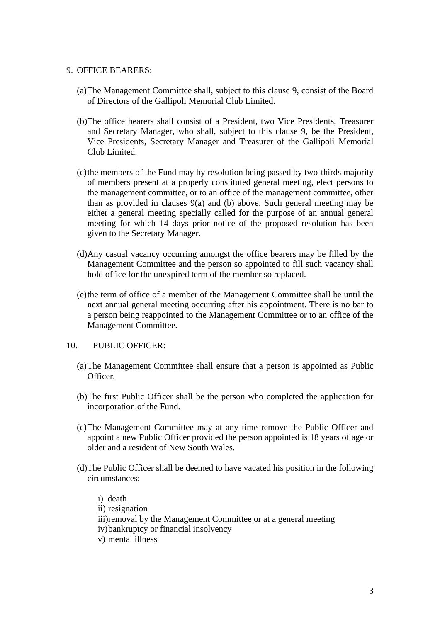## 9. OFFICE BEARERS:

- (a)The Management Committee shall, subject to this clause 9, consist of the Board of Directors of the Gallipoli Memorial Club Limited.
- (b)The office bearers shall consist of a President, two Vice Presidents, Treasurer and Secretary Manager, who shall, subject to this clause 9, be the President, Vice Presidents, Secretary Manager and Treasurer of the Gallipoli Memorial Club Limited.
- (c)the members of the Fund may by resolution being passed by two-thirds majority of members present at a properly constituted general meeting, elect persons to the management committee, or to an office of the management committee, other than as provided in clauses 9(a) and (b) above. Such general meeting may be either a general meeting specially called for the purpose of an annual general meeting for which 14 days prior notice of the proposed resolution has been given to the Secretary Manager.
- (d)Any casual vacancy occurring amongst the office bearers may be filled by the Management Committee and the person so appointed to fill such vacancy shall hold office for the unexpired term of the member so replaced.
- (e)the term of office of a member of the Management Committee shall be until the next annual general meeting occurring after his appointment. There is no bar to a person being reappointed to the Management Committee or to an office of the Management Committee.

# 10. PUBLIC OFFICER:

- (a)The Management Committee shall ensure that a person is appointed as Public **Officer**
- (b)The first Public Officer shall be the person who completed the application for incorporation of the Fund.
- (c)The Management Committee may at any time remove the Public Officer and appoint a new Public Officer provided the person appointed is 18 years of age or older and a resident of New South Wales.
- (d)The Public Officer shall be deemed to have vacated his position in the following circumstances;

i) death ii) resignation iii)removal by the Management Committee or at a general meeting iv)bankruptcy or financial insolvency v) mental illness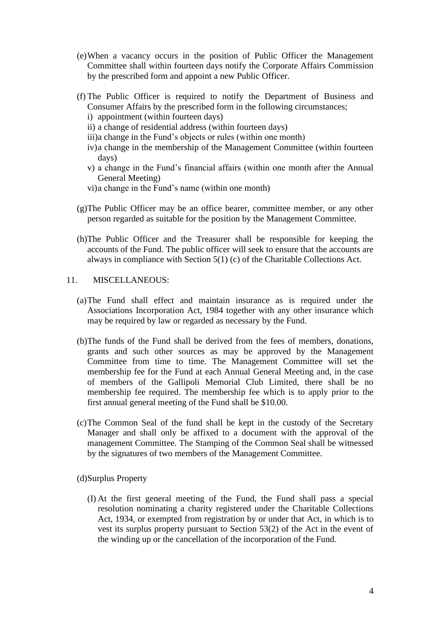- (e)When a vacancy occurs in the position of Public Officer the Management Committee shall within fourteen days notify the Corporate Affairs Commission by the prescribed form and appoint a new Public Officer.
- (f) The Public Officer is required to notify the Department of Business and Consumer Affairs by the prescribed form in the following circumstances;
	- i) appointment (within fourteen days)
	- ii) a change of residential address (within fourteen days)
	- iii)a change in the Fund's objects or rules (within one month)
	- iv)a change in the membership of the Management Committee (within fourteen days)
	- v) a change in the Fund's financial affairs (within one month after the Annual General Meeting)
	- vi)a change in the Fund's name (within one month)
- (g)The Public Officer may be an office bearer, committee member, or any other person regarded as suitable for the position by the Management Committee.
- (h)The Public Officer and the Treasurer shall be responsible for keeping the accounts of the Fund. The public officer will seek to ensure that the accounts are always in compliance with Section 5(1) (c) of the Charitable Collections Act.

# 11. MISCELLANEOUS:

- (a)The Fund shall effect and maintain insurance as is required under the Associations Incorporation Act, 1984 together with any other insurance which may be required by law or regarded as necessary by the Fund.
- (b)The funds of the Fund shall be derived from the fees of members, donations, grants and such other sources as may be approved by the Management Committee from time to time. The Management Committee will set the membership fee for the Fund at each Annual General Meeting and, in the case of members of the Gallipoli Memorial Club Limited, there shall be no membership fee required. The membership fee which is to apply prior to the first annual general meeting of the Fund shall be \$10.00.
- (c)The Common Seal of the fund shall be kept in the custody of the Secretary Manager and shall only be affixed to a document with the approval of the management Committee. The Stamping of the Common Seal shall be witnessed by the signatures of two members of the Management Committee.

(d)Surplus Property

(I) At the first general meeting of the Fund, the Fund shall pass a special resolution nominating a charity registered under the Charitable Collections Act, 1934, or exempted from registration by or under that Act, in which is to vest its surplus property pursuant to Section 53(2) of the Act in the event of the winding up or the cancellation of the incorporation of the Fund.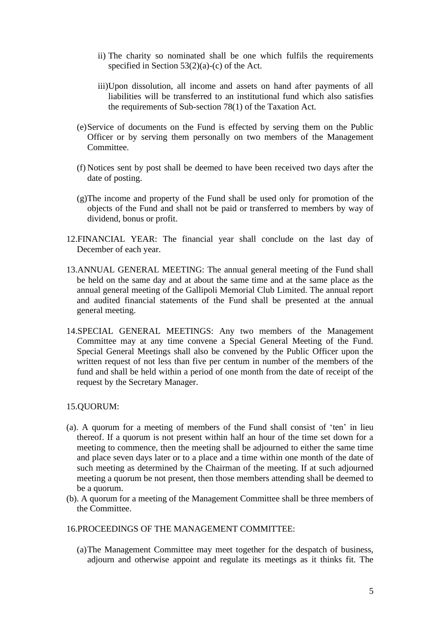- ii) The charity so nominated shall be one which fulfils the requirements specified in Section 53(2)(a)-(c) of the Act.
- iii)Upon dissolution, all income and assets on hand after payments of all liabilities will be transferred to an institutional fund which also satisfies the requirements of Sub-section 78(1) of the Taxation Act.
- (e)Service of documents on the Fund is effected by serving them on the Public Officer or by serving them personally on two members of the Management Committee.
- (f) Notices sent by post shall be deemed to have been received two days after the date of posting.
- (g)The income and property of the Fund shall be used only for promotion of the objects of the Fund and shall not be paid or transferred to members by way of dividend, bonus or profit.
- 12.FINANCIAL YEAR: The financial year shall conclude on the last day of December of each year.
- 13.ANNUAL GENERAL MEETING: The annual general meeting of the Fund shall be held on the same day and at about the same time and at the same place as the annual general meeting of the Gallipoli Memorial Club Limited. The annual report and audited financial statements of the Fund shall be presented at the annual general meeting.
- 14.SPECIAL GENERAL MEETINGS: Any two members of the Management Committee may at any time convene a Special General Meeting of the Fund. Special General Meetings shall also be convened by the Public Officer upon the written request of not less than five per centum in number of the members of the fund and shall be held within a period of one month from the date of receipt of the request by the Secretary Manager.

# 15.QUORUM:

- (a). A quorum for a meeting of members of the Fund shall consist of 'ten' in lieu thereof. If a quorum is not present within half an hour of the time set down for a meeting to commence, then the meeting shall be adjourned to either the same time and place seven days later or to a place and a time within one month of the date of such meeting as determined by the Chairman of the meeting. If at such adjourned meeting a quorum be not present, then those members attending shall be deemed to be a quorum.
- (b). A quorum for a meeting of the Management Committee shall be three members of the Committee.
- 16.PROCEEDINGS OF THE MANAGEMENT COMMITTEE:
	- (a)The Management Committee may meet together for the despatch of business, adjourn and otherwise appoint and regulate its meetings as it thinks fit. The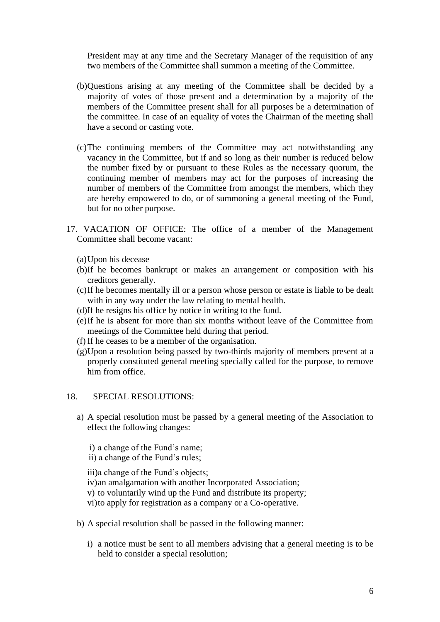President may at any time and the Secretary Manager of the requisition of any two members of the Committee shall summon a meeting of the Committee.

- (b)Questions arising at any meeting of the Committee shall be decided by a majority of votes of those present and a determination by a majority of the members of the Committee present shall for all purposes be a determination of the committee. In case of an equality of votes the Chairman of the meeting shall have a second or casting vote.
- (c)The continuing members of the Committee may act notwithstanding any vacancy in the Committee, but if and so long as their number is reduced below the number fixed by or pursuant to these Rules as the necessary quorum, the continuing member of members may act for the purposes of increasing the number of members of the Committee from amongst the members, which they are hereby empowered to do, or of summoning a general meeting of the Fund, but for no other purpose.
- 17. VACATION OF OFFICE: The office of a member of the Management Committee shall become vacant:
	- (a)Upon his decease
	- (b)If he becomes bankrupt or makes an arrangement or composition with his creditors generally.
	- (c)If he becomes mentally ill or a person whose person or estate is liable to be dealt with in any way under the law relating to mental health.
	- (d)If he resigns his office by notice in writing to the fund.
	- (e)If he is absent for more than six months without leave of the Committee from meetings of the Committee held during that period.
	- (f) If he ceases to be a member of the organisation.
	- (g)Upon a resolution being passed by two-thirds majority of members present at a properly constituted general meeting specially called for the purpose, to remove him from office.

#### 18. SPECIAL RESOLUTIONS:

- a) A special resolution must be passed by a general meeting of the Association to effect the following changes:
	- i) a change of the Fund's name;
	- ii) a change of the Fund's rules;

iii)a change of the Fund's objects;

- iv)an amalgamation with another Incorporated Association;
- v) to voluntarily wind up the Fund and distribute its property;
- vi)to apply for registration as a company or a Co-operative.
- b) A special resolution shall be passed in the following manner:
	- i) a notice must be sent to all members advising that a general meeting is to be held to consider a special resolution;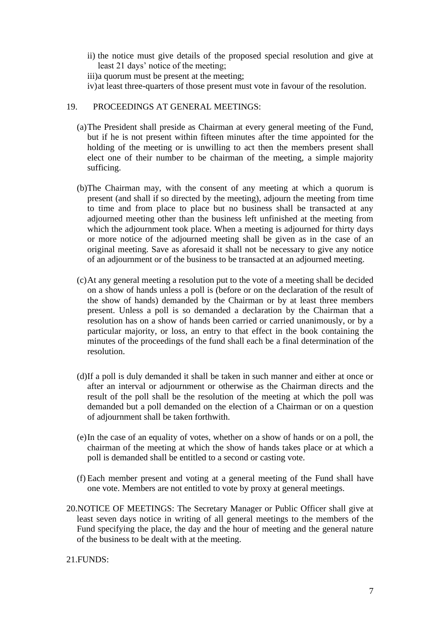ii) the notice must give details of the proposed special resolution and give at least 21 days' notice of the meeting;

iii)a quorum must be present at the meeting;

iv)at least three-quarters of those present must vote in favour of the resolution.

## 19. PROCEEDINGS AT GENERAL MEETINGS:

- (a)The President shall preside as Chairman at every general meeting of the Fund, but if he is not present within fifteen minutes after the time appointed for the holding of the meeting or is unwilling to act then the members present shall elect one of their number to be chairman of the meeting, a simple majority sufficing.
- (b)The Chairman may, with the consent of any meeting at which a quorum is present (and shall if so directed by the meeting), adjourn the meeting from time to time and from place to place but no business shall be transacted at any adjourned meeting other than the business left unfinished at the meeting from which the adjournment took place. When a meeting is adjourned for thirty days or more notice of the adjourned meeting shall be given as in the case of an original meeting. Save as aforesaid it shall not be necessary to give any notice of an adjournment or of the business to be transacted at an adjourned meeting.
- (c)At any general meeting a resolution put to the vote of a meeting shall be decided on a show of hands unless a poll is (before or on the declaration of the result of the show of hands) demanded by the Chairman or by at least three members present. Unless a poll is so demanded a declaration by the Chairman that a resolution has on a show of hands been carried or carried unanimously, or by a particular majority, or loss, an entry to that effect in the book containing the minutes of the proceedings of the fund shall each be a final determination of the resolution.
- (d)If a poll is duly demanded it shall be taken in such manner and either at once or after an interval or adjournment or otherwise as the Chairman directs and the result of the poll shall be the resolution of the meeting at which the poll was demanded but a poll demanded on the election of a Chairman or on a question of adjournment shall be taken forthwith.
- (e)In the case of an equality of votes, whether on a show of hands or on a poll, the chairman of the meeting at which the show of hands takes place or at which a poll is demanded shall be entitled to a second or casting vote.
- (f) Each member present and voting at a general meeting of the Fund shall have one vote. Members are not entitled to vote by proxy at general meetings.
- 20.NOTICE OF MEETINGS: The Secretary Manager or Public Officer shall give at least seven days notice in writing of all general meetings to the members of the Fund specifying the place, the day and the hour of meeting and the general nature of the business to be dealt with at the meeting.

<sup>21.</sup>FUNDS: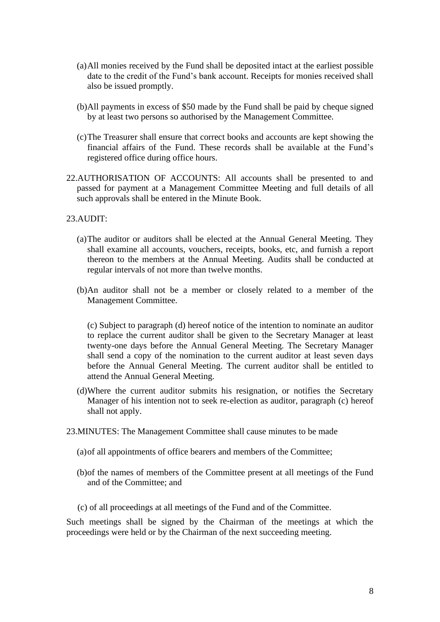- (a)All monies received by the Fund shall be deposited intact at the earliest possible date to the credit of the Fund's bank account. Receipts for monies received shall also be issued promptly.
- (b)All payments in excess of \$50 made by the Fund shall be paid by cheque signed by at least two persons so authorised by the Management Committee.
- (c)The Treasurer shall ensure that correct books and accounts are kept showing the financial affairs of the Fund. These records shall be available at the Fund's registered office during office hours.
- 22.AUTHORISATION OF ACCOUNTS: All accounts shall be presented to and passed for payment at a Management Committee Meeting and full details of all such approvals shall be entered in the Minute Book.

23.AUDIT:

- (a)The auditor or auditors shall be elected at the Annual General Meeting. They shall examine all accounts, vouchers, receipts, books, etc, and furnish a report thereon to the members at the Annual Meeting. Audits shall be conducted at regular intervals of not more than twelve months.
- (b)An auditor shall not be a member or closely related to a member of the Management Committee.

(c) Subject to paragraph (d) hereof notice of the intention to nominate an auditor to replace the current auditor shall be given to the Secretary Manager at least twenty-one days before the Annual General Meeting. The Secretary Manager shall send a copy of the nomination to the current auditor at least seven days before the Annual General Meeting. The current auditor shall be entitled to attend the Annual General Meeting.

- (d)Where the current auditor submits his resignation, or notifies the Secretary Manager of his intention not to seek re-election as auditor, paragraph (c) hereof shall not apply.
- 23.MINUTES: The Management Committee shall cause minutes to be made
	- (a)of all appointments of office bearers and members of the Committee;
	- (b)of the names of members of the Committee present at all meetings of the Fund and of the Committee; and
	- (c) of all proceedings at all meetings of the Fund and of the Committee.

Such meetings shall be signed by the Chairman of the meetings at which the proceedings were held or by the Chairman of the next succeeding meeting.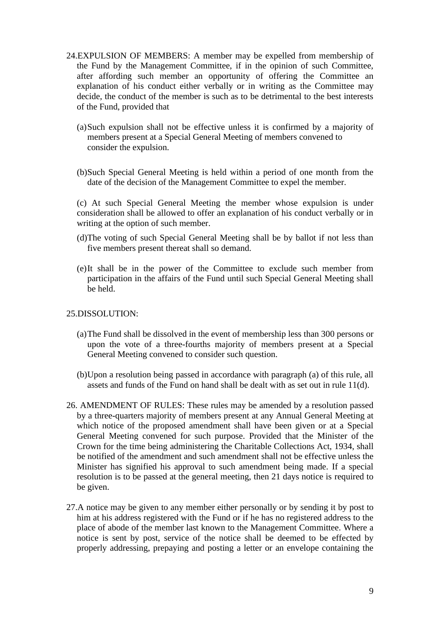- 24.EXPULSION OF MEMBERS: A member may be expelled from membership of the Fund by the Management Committee, if in the opinion of such Committee, after affording such member an opportunity of offering the Committee an explanation of his conduct either verbally or in writing as the Committee may decide, the conduct of the member is such as to be detrimental to the best interests of the Fund, provided that
	- (a)Such expulsion shall not be effective unless it is confirmed by a majority of members present at a Special General Meeting of members convened to consider the expulsion.
	- (b)Such Special General Meeting is held within a period of one month from the date of the decision of the Management Committee to expel the member.

(c) At such Special General Meeting the member whose expulsion is under consideration shall be allowed to offer an explanation of his conduct verbally or in writing at the option of such member.

- (d)The voting of such Special General Meeting shall be by ballot if not less than five members present thereat shall so demand.
- (e)It shall be in the power of the Committee to exclude such member from participation in the affairs of the Fund until such Special General Meeting shall be held.

## 25.DISSOLUTION:

- (a)The Fund shall be dissolved in the event of membership less than 300 persons or upon the vote of a three-fourths majority of members present at a Special General Meeting convened to consider such question.
- (b)Upon a resolution being passed in accordance with paragraph (a) of this rule, all assets and funds of the Fund on hand shall be dealt with as set out in rule 11(d).
- 26. AMENDMENT OF RULES: These rules may be amended by a resolution passed by a three-quarters majority of members present at any Annual General Meeting at which notice of the proposed amendment shall have been given or at a Special General Meeting convened for such purpose. Provided that the Minister of the Crown for the time being administering the Charitable Collections Act, 1934, shall be notified of the amendment and such amendment shall not be effective unless the Minister has signified his approval to such amendment being made. If a special resolution is to be passed at the general meeting, then 21 days notice is required to be given.
- 27.A notice may be given to any member either personally or by sending it by post to him at his address registered with the Fund or if he has no registered address to the place of abode of the member last known to the Management Committee. Where a notice is sent by post, service of the notice shall be deemed to be effected by properly addressing, prepaying and posting a letter or an envelope containing the